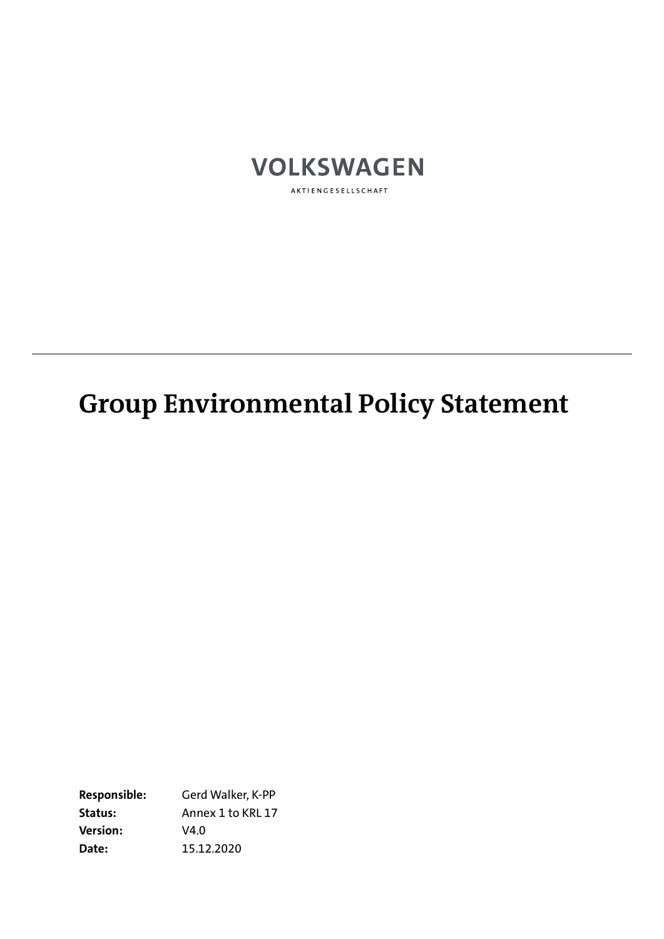

AKTIENGESELLSCHAFT

# **Group Environmental Policy Statement**

**Responsible:** Gerd Walker, K-PP **Status:** Annex 1 to KRL 17 **Version:** V4.0 **Date:** 15.12.2020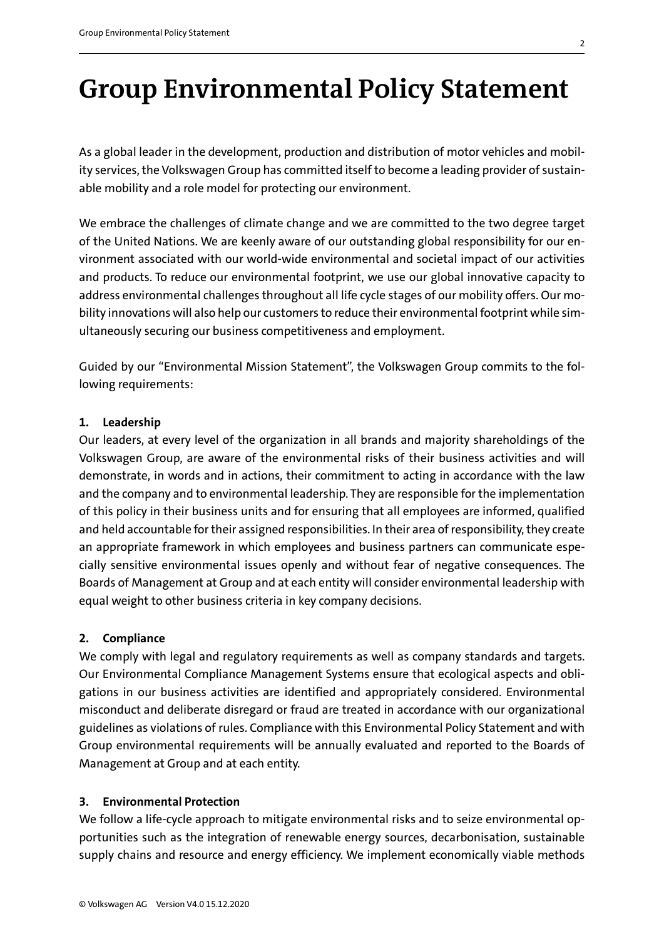## **Group Environmental Policy Statement**

As a global leader in the development, production and distribution of motor vehicles and mobility services, the Volkswagen Group has committed itself to become a leading provider of sustainable mobility and a role model for protecting our environment.

We embrace the challenges of climate change and we are committed to the two degree target of the United Nations. We are keenly aware of our outstanding global responsibility for our environment associated with our world-wide environmental and societal impact of our activities and products. To reduce our environmental footprint, we use our global innovative capacity to address environmental challenges throughout all life cycle stages of our mobility offers. Our mobility innovations will also help our customers to reduce their environmental footprint while simultaneously securing our business competitiveness and employment.

Guided by our "Environmental Mission Statement", the Volkswagen Group commits to the following requirements:

#### **1. Leadership**

Our leaders, at every level of the organization in all brands and majority shareholdings of the Volkswagen Group, are aware of the environmental risks of their business activities and will demonstrate, in words and in actions, their commitment to acting in accordance with the law and the company and to environmental leadership. They are responsible for the implementation of this policy in their business units and for ensuring that all employees are informed, qualified and held accountable for their assigned responsibilities. In their area of responsibility, they create an appropriate framework in which employees and business partners can communicate especially sensitive environmental issues openly and without fear of negative consequences. The Boards of Management at Group and at each entity will consider environmental leadership with equal weight to other business criteria in key company decisions.

#### **2. Compliance**

We comply with legal and regulatory requirements as well as company standards and targets. Our Environmental Compliance Management Systems ensure that ecological aspects and obligations in our business activities are identified and appropriately considered. Environmental misconduct and deliberate disregard or fraud are treated in accordance with our organizational guidelines as violations of rules. Compliance with this Environmental Policy Statement and with Group environmental requirements will be annually evaluated and reported to the Boards of Management at Group and at each entity.

### **3. Environmental Protection**

We follow a life-cycle approach to mitigate environmental risks and to seize environmental opportunities such as the integration of renewable energy sources, decarbonisation, sustainable supply chains and resource and energy efficiency. We implement economically viable methods